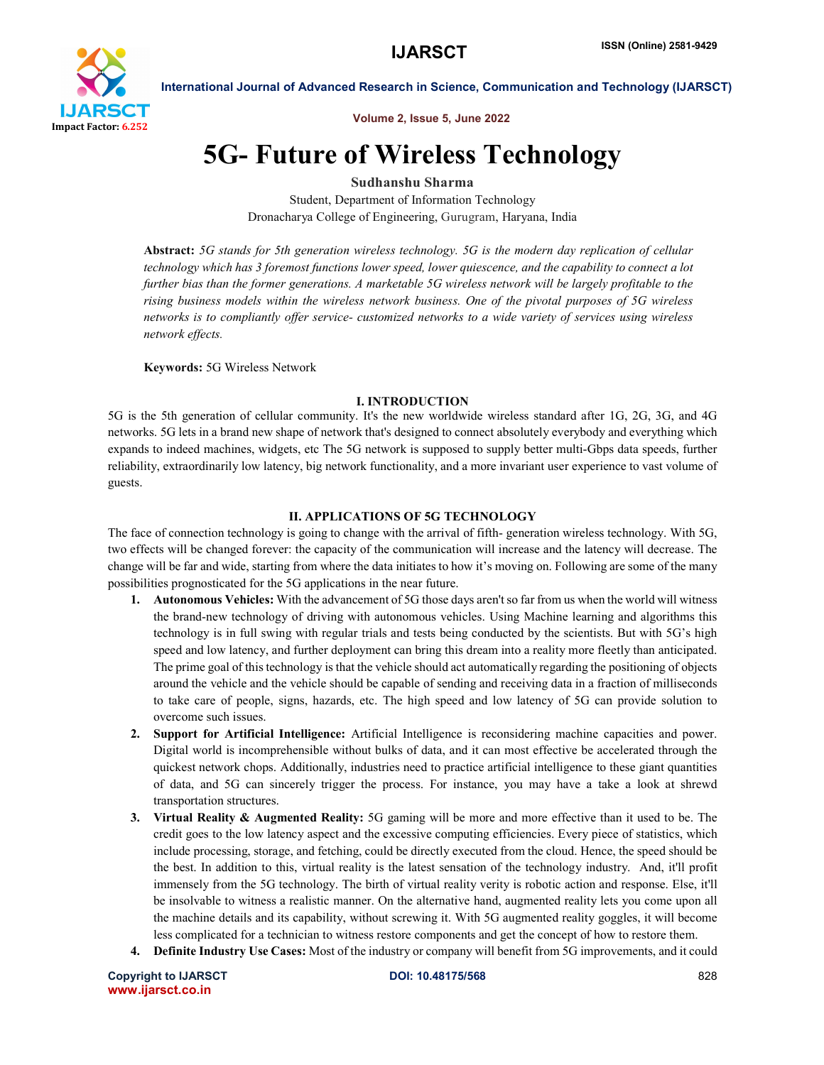

International Journal of Advanced Research in Science, Communication and Technology (IJARSCT)

Volume 2, Issue 5, June 2022

# 5G- Future of Wireless Technology

Sudhanshu Sharma

Student, Department of Information Technology Dronacharya College of Engineering, Gurugram, Haryana, India

Abstract: *5G stands for 5th generation wireless technology. 5G is the modern day replication of cellular technology which has 3 foremost functions lower speed, lower quiescence, and the capability to connect a lot further bias than the former generations. A marketable 5G wireless network will be largely profitable to the rising business models within the wireless network business. One of the pivotal purposes of 5G wireless networks is to compliantly offer service- customized networks to a wide variety of services using wireless network effects.*

Keywords: 5G Wireless Network

### I. INTRODUCTION

5G is the 5th generation of cellular community. It's the new worldwide wireless standard after 1G, 2G, 3G, and 4G networks. 5G lets in a brand new shape of network that's designed to connect absolutely everybody and everything which expands to indeed machines, widgets, etc The 5G network is supposed to supply better multi-Gbps data speeds, further reliability, extraordinarily low latency, big network functionality, and a more invariant user experience to vast volume of guests.

### II. APPLICATIONS OF 5G TECHNOLOGY

The face of connection technology is going to change with the arrival of fifth- generation wireless technology. With 5G, two effects will be changed forever: the capacity of the communication will increase and the latency will decrease. The change will be far and wide, starting from where the data initiates to how it's moving on. Following are some of the many possibilities prognosticated for the 5G applications in the near future.

- 1. Autonomous Vehicles: With the advancement of 5G those days aren't so far from us when the world will witness the brand-new technology of driving with autonomous vehicles. Using Machine learning and algorithms this technology is in full swing with regular trials and tests being conducted by the scientists. But with 5G's high speed and low latency, and further deployment can bring this dream into a reality more fleetly than anticipated. The prime goal of this technology is that the vehicle should act automatically regarding the positioning of objects around the vehicle and the vehicle should be capable of sending and receiving data in a fraction of milliseconds to take care of people, signs, hazards, etc. The high speed and low latency of 5G can provide solution to overcome such issues.
- 2. Support for Artificial Intelligence: Artificial Intelligence is reconsidering machine capacities and power. Digital world is incomprehensible without bulks of data, and it can most effective be accelerated through the quickest network chops. Additionally, industries need to practice artificial intelligence to these giant quantities of data, and 5G can sincerely trigger the process. For instance, you may have a take a look at shrewd transportation structures.
- 3. Virtual Reality & Augmented Reality: 5G gaming will be more and more effective than it used to be. The credit goes to the low latency aspect and the excessive computing efficiencies. Every piece of statistics, which include processing, storage, and fetching, could be directly executed from the cloud. Hence, the speed should be the best. In addition to this, virtual reality is the latest sensation of the technology industry. And, it'll profit immensely from the 5G technology. The birth of virtual reality verity is robotic action and response. Else, it'll be insolvable to witness a realistic manner. On the alternative hand, augmented reality lets you come upon all the machine details and its capability, without screwing it. With 5G augmented reality goggles, it will become less complicated for a technician to witness restore components and get the concept of how to restore them.
- 4. Definite Industry Use Cases: Most of the industry or company will benefit from 5G improvements, and it could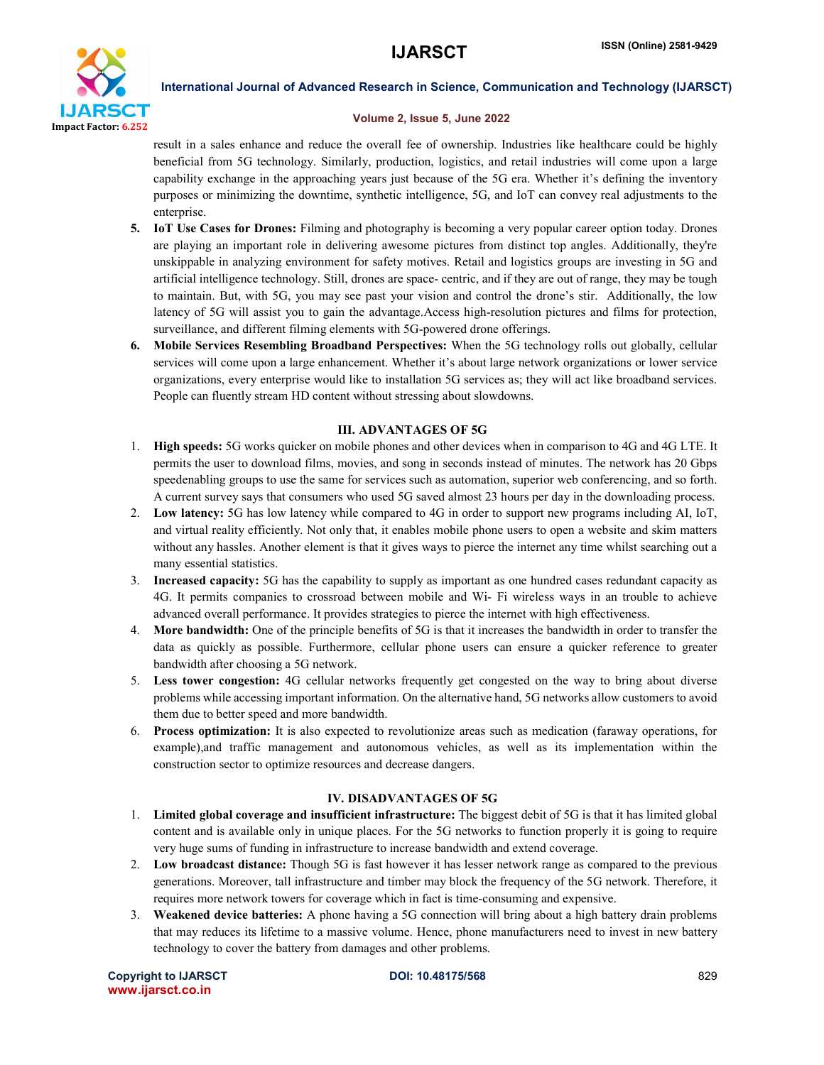

International Journal of Advanced Research in Science, Communication and Technology (IJARSCT)

#### Volume 2, Issue 5, June 2022

result in a sales enhance and reduce the overall fee of ownership. Industries like healthcare could be highly beneficial from 5G technology. Similarly, production, logistics, and retail industries will come upon a large capability exchange in the approaching years just because of the 5G era. Whether it's defining the inventory purposes or minimizing the downtime, synthetic intelligence, 5G, and IoT can convey real adjustments to the enterprise.

- 5. IoT Use Cases for Drones: Filming and photography is becoming a very popular career option today. Drones are playing an important role in delivering awesome pictures from distinct top angles. Additionally, they're unskippable in analyzing environment for safety motives. Retail and logistics groups are investing in 5G and artificial intelligence technology. Still, drones are space- centric, and if they are out of range, they may be tough to maintain. But, with 5G, you may see past your vision and control the drone's stir. Additionally, the low latency of 5G will assist you to gain the advantage.Access high-resolution pictures and films for protection, surveillance, and different filming elements with 5G-powered drone offerings.
- 6. Mobile Services Resembling Broadband Perspectives: When the 5G technology rolls out globally, cellular services will come upon a large enhancement. Whether it's about large network organizations or lower service organizations, every enterprise would like to installation 5G services as; they will act like broadband services. People can fluently stream HD content without stressing about slowdowns.

### III. ADVANTAGES OF 5G

- 1. High speeds: 5G works quicker on mobile phones and other devices when in comparison to 4G and 4G LTE. It permits the user to download films, movies, and song in seconds instead of minutes. The network has 20 Gbps speedenabling groups to use the same for services such as automation, superior web conferencing, and so forth. A current survey says that consumers who used 5G saved almost 23 hours per day in the downloading process.
- 2. Low latency: 5G has low latency while compared to 4G in order to support new programs including AI, IoT, and virtual reality efficiently. Not only that, it enables mobile phone users to open a website and skim matters without any hassles. Another element is that it gives ways to pierce the internet any time whilst searching out a many essential statistics.
- 3. Increased capacity: 5G has the capability to supply as important as one hundred cases redundant capacity as 4G. It permits companies to crossroad between mobile and Wi- Fi wireless ways in an trouble to achieve advanced overall performance. It provides strategies to pierce the internet with high effectiveness.
- 4. More bandwidth: One of the principle benefits of 5G is that it increases the bandwidth in order to transfer the data as quickly as possible. Furthermore, cellular phone users can ensure a quicker reference to greater bandwidth after choosing a 5G network.
- 5. Less tower congestion: 4G cellular networks frequently get congested on the way to bring about diverse problems while accessing important information. On the alternative hand, 5G networks allow customers to avoid them due to better speed and more bandwidth.
- 6. Process optimization: It is also expected to revolutionize areas such as medication (faraway operations, for example),and traffic management and autonomous vehicles, as well as its implementation within the construction sector to optimize resources and decrease dangers.

### IV. DISADVANTAGES OF 5G

- 1. Limited global coverage and insufficient infrastructure: The biggest debit of 5G is that it has limited global content and is available only in unique places. For the 5G networks to function properly it is going to require very huge sums of funding in infrastructure to increase bandwidth and extend coverage.
- 2. Low broadcast distance: Though 5G is fast however it has lesser network range as compared to the previous generations. Moreover, tall infrastructure and timber may block the frequency of the 5G network. Therefore, it requires more network towers for coverage which in fact is time-consuming and expensive.
- 3. Weakened device batteries: A phone having a 5G connection will bring about a high battery drain problems that may reduces its lifetime to a massive volume. Hence, phone manufacturers need to invest in new battery technology to cover the battery from damages and other problems.